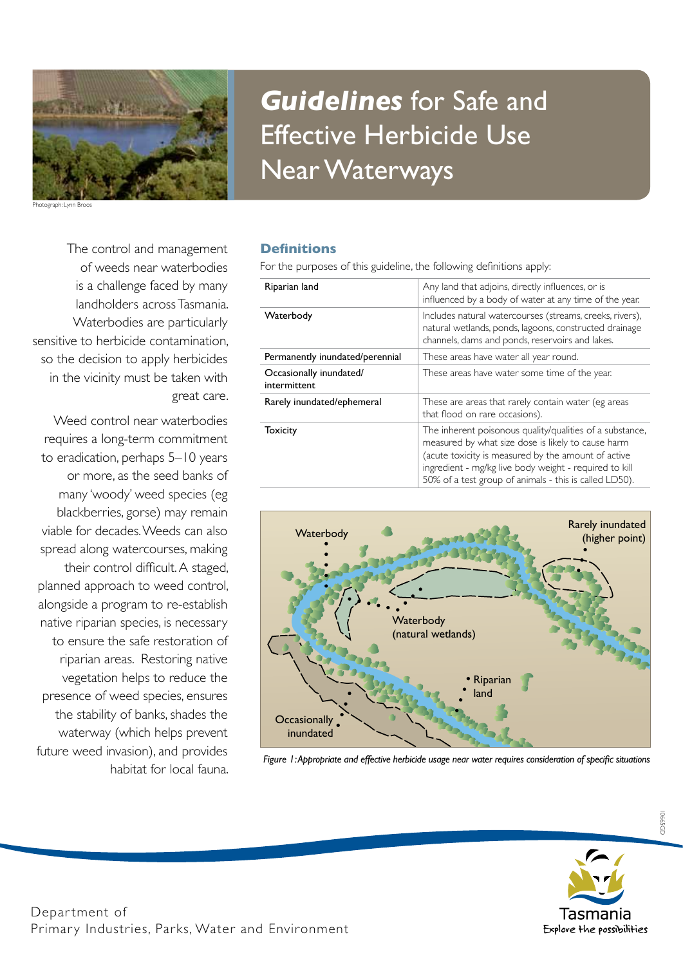

Photograph: Lynn Broos

# The control and management of weeds near waterbodies is a challenge faced by many landholders across Tasmania. Waterbodies are particularly sensitive to herbicide contamination, so the decision to apply herbicides in the vicinity must be taken with great care.

Weed control near waterbodies requires a long-term commitment to eradication, perhaps 5–10 years or more, as the seed banks of many 'woody' weed species (eg blackberries, gorse) may remain viable for decades. Weeds can also spread along watercourses, making their control difficult. A staged, planned approach to weed control, alongside a program to re-establish native riparian species, is necessary to ensure the safe restoration of riparian areas. Restoring native vegetation helps to reduce the presence of weed species, ensures the stability of banks, shades the waterway (which helps prevent future weed invasion), and provides habitat for local fauna.

# *Guidelines* for Safe and Effective Herbicide Use Near Waterways

# **Definitions**

For the purposes of this guideline, the following definitions apply:

| Riparian land                           | Any land that adjoins, directly influences, or is<br>influenced by a body of water at any time of the year.                                                                                                                                                                               |
|-----------------------------------------|-------------------------------------------------------------------------------------------------------------------------------------------------------------------------------------------------------------------------------------------------------------------------------------------|
| Waterbody                               | Includes natural watercourses (streams, creeks, rivers),<br>natural wetlands, ponds, lagoons, constructed drainage<br>channels, dams and ponds, reservoirs and lakes.                                                                                                                     |
| Permanently inundated/perennial         | These areas have water all year round.                                                                                                                                                                                                                                                    |
| Occasionally inundated/<br>intermittent | These areas have water some time of the year.                                                                                                                                                                                                                                             |
| Rarely inundated/ephemeral              | These are areas that rarely contain water (eg areas<br>that flood on rare occasions).                                                                                                                                                                                                     |
| <b>Toxicity</b>                         | The inherent poisonous quality/qualities of a substance,<br>measured by what size dose is likely to cause harm<br>(acute toxicity is measured by the amount of active<br>ingredient - mg/kg live body weight - required to kill<br>50% of a test group of animals - this is called LD50). |



*Figure 1: Appropriate and effective herbicide usage near water requires consideration of specific situations*

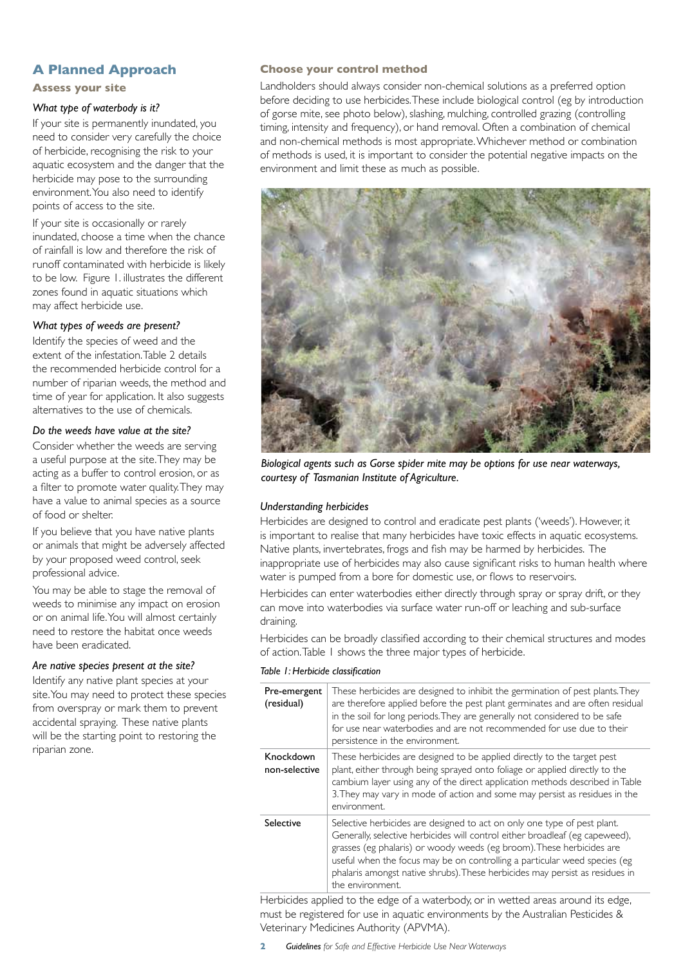# **A Planned Approach**

**Assess your site**

# *What type of waterbody is it?*

If your site is permanently inundated, you need to consider very carefully the choice of herbicide, recognising the risk to your aquatic ecosystem and the danger that the herbicide may pose to the surrounding environment. You also need to identify points of access to the site.

If your site is occasionally or rarely inundated, choose a time when the chance of rainfall is low and therefore the risk of runoff contaminated with herbicide is likely to be low. Figure 1. illustrates the different zones found in aquatic situations which may affect herbicide use.

## *What types of weeds are present?*

Identify the species of weed and the extent of the infestation. Table 2 details the recommended herbicide control for a number of riparian weeds, the method and time of year for application. It also suggests alternatives to the use of chemicals.

## *Do the weeds have value at the site?*

Consider whether the weeds are serving a useful purpose at the site. They may be acting as a buffer to control erosion, or as a filter to promote water quality. They may have a value to animal species as a source of food or shelter.

If you believe that you have native plants or animals that might be adversely affected by your proposed weed control, seek professional advice.

You may be able to stage the removal of weeds to minimise any impact on erosion or on animal life. You will almost certainly need to restore the habitat once weeds have been eradicated.

## *Are native species present at the site?*

Identify any native plant species at your site. You may need to protect these species from overspray or mark them to prevent accidental spraying. These native plants will be the starting point to restoring the riparian zone.

## **Choose your control method**

Landholders should always consider non-chemical solutions as a preferred option before deciding to use herbicides. These include biological control (eg by introduction of gorse mite, see photo below), slashing, mulching, controlled grazing (controlling timing, intensity and frequency), or hand removal. Often a combination of chemical and non-chemical methods is most appropriate. Whichever method or combination of methods is used, it is important to consider the potential negative impacts on the environment and limit these as much as possible.



*Biological agents such as Gorse spider mite may be options for use near waterways, courtesy of Tasmanian Institute of Agriculture.*

# *Understanding herbicides*

Herbicides are designed to control and eradicate pest plants ('weeds'). However, it is important to realise that many herbicides have toxic effects in aquatic ecosystems. Native plants, invertebrates, frogs and fish may be harmed by herbicides. The inappropriate use of herbicides may also cause significant risks to human health where water is pumped from a bore for domestic use, or flows to reservoirs.

Herbicides can enter waterbodies either directly through spray or spray drift, or they can move into waterbodies via surface water run-off or leaching and sub-surface draining.

Herbicides can be broadly classified according to their chemical structures and modes of action. Table 1 shows the three major types of herbicide.

#### *Table 1: Herbicide classification*

| Pre-emergent<br>(residual) | These herbicides are designed to inhibit the germination of pest plants. They<br>are therefore applied before the pest plant germinates and are often residual<br>in the soil for long periods. They are generally not considered to be safe<br>for use near waterbodies and are not recommended for use due to their<br>persistence in the environment.                                                           |
|----------------------------|--------------------------------------------------------------------------------------------------------------------------------------------------------------------------------------------------------------------------------------------------------------------------------------------------------------------------------------------------------------------------------------------------------------------|
| Knockdown<br>non-selective | These herbicides are designed to be applied directly to the target pest<br>plant, either through being sprayed onto foliage or applied directly to the<br>cambium layer using any of the direct application methods described in Table<br>3. They may vary in mode of action and some may persist as residues in the<br>environment.                                                                               |
| Selective                  | Selective herbicides are designed to act on only one type of pest plant.<br>Generally, selective herbicides will control either broadleaf (eg capeweed),<br>grasses (eg phalaris) or woody weeds (eg broom). These herbicides are<br>useful when the focus may be on controlling a particular weed species (eg<br>phalaris amongst native shrubs). These herbicides may persist as residues in<br>the environment. |

Herbicides applied to the edge of a waterbody, or in wetted areas around its edge, must be registered for use in aquatic environments by the Australian Pesticides & Veterinary Medicines Authority (APVMA).

**2** *Guidelines for Safe and Effective Herbicide Use Near Waterways*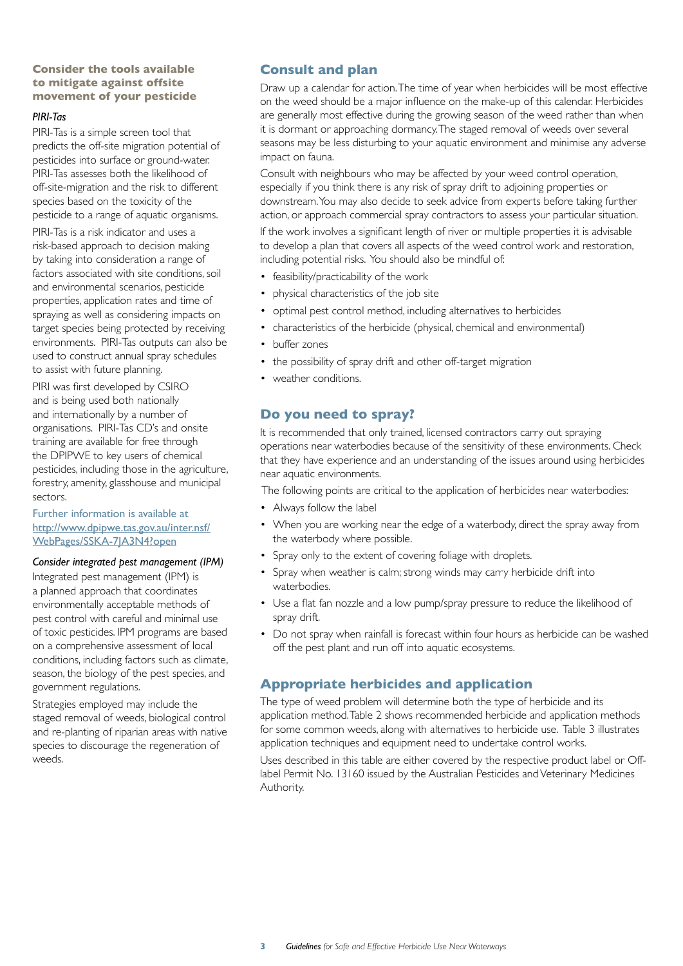# **Consider the tools available to mitigate against offsite movement of your pesticide**

#### *PIRI-Tas*

PIRI-Tas is a simple screen tool that predicts the off-site migration potential of pesticides into surface or ground-water. PIRI-Tas assesses both the likelihood of off-site-migration and the risk to different species based on the toxicity of the pesticide to a range of aquatic organisms.

PIRI-Tas is a risk indicator and uses a risk-based approach to decision making by taking into consideration a range of factors associated with site conditions, soil and environmental scenarios, pesticide properties, application rates and time of spraying as well as considering impacts on target species being protected by receiving environments. PIRI-Tas outputs can also be used to construct annual spray schedules to assist with future planning.

PIRI was first developed by CSIRO and is being used both nationally and internationally by a number of organisations. PIRI-Tas CD's and onsite training are available for free through the DPIPWE to key users of chemical pesticides, including those in the agriculture, forestry, amenity, glasshouse and municipal sectors.

## Further information is available at http://www.dpipwe.tas.gov.au/inter.nsf/ WebPages/SSKA-7JA3N4?open

## *Consider integrated pest management (IPM)*

Integrated pest management (IPM) is a planned approach that coordinates environmentally acceptable methods of pest control with careful and minimal use of toxic pesticides. IPM programs are based on a comprehensive assessment of local conditions, including factors such as climate, season, the biology of the pest species, and government regulations.

Strategies employed may include the staged removal of weeds, biological control and re-planting of riparian areas with native species to discourage the regeneration of weeds.

# **Consult and plan**

Draw up a calendar for action. The time of year when herbicides will be most effective on the weed should be a major influence on the make-up of this calendar. Herbicides are generally most effective during the growing season of the weed rather than when it is dormant or approaching dormancy. The staged removal of weeds over several seasons may be less disturbing to your aquatic environment and minimise any adverse impact on fauna.

Consult with neighbours who may be affected by your weed control operation, especially if you think there is any risk of spray drift to adjoining properties or downstream. You may also decide to seek advice from experts before taking further action, or approach commercial spray contractors to assess your particular situation.

If the work involves a significant length of river or multiple properties it is advisable to develop a plan that covers all aspects of the weed control work and restoration, including potential risks. You should also be mindful of:

- feasibility/practicability of the work
- physical characteristics of the job site
- optimal pest control method, including alternatives to herbicides
- characteristics of the herbicide (physical, chemical and environmental)
- buffer zones
- the possibility of spray drift and other off-target migration
- weather conditions.

# **Do you need to spray?**

It is recommended that only trained, licensed contractors carry out spraying operations near waterbodies because of the sensitivity of these environments. Check that they have experience and an understanding of the issues around using herbicides near aquatic environments.

The following points are critical to the application of herbicides near waterbodies:

- Always follow the label
- When you are working near the edge of a waterbody, direct the spray away from the waterbody where possible.
- Spray only to the extent of covering foliage with droplets.
- Spray when weather is calm; strong winds may carry herbicide drift into waterbodies.
- Use a flat fan nozzle and a low pump/spray pressure to reduce the likelihood of spray drift.
- Do not spray when rainfall is forecast within four hours as herbicide can be washed off the pest plant and run off into aquatic ecosystems.

# **Appropriate herbicides and application**

The type of weed problem will determine both the type of herbicide and its application method. Table 2 shows recommended herbicide and application methods for some common weeds, along with alternatives to herbicide use. Table 3 illustrates application techniques and equipment need to undertake control works.

Uses described in this table are either covered by the respective product label or Offlabel Permit No. 13160 issued by the Australian Pesticides and Veterinary Medicines Authority.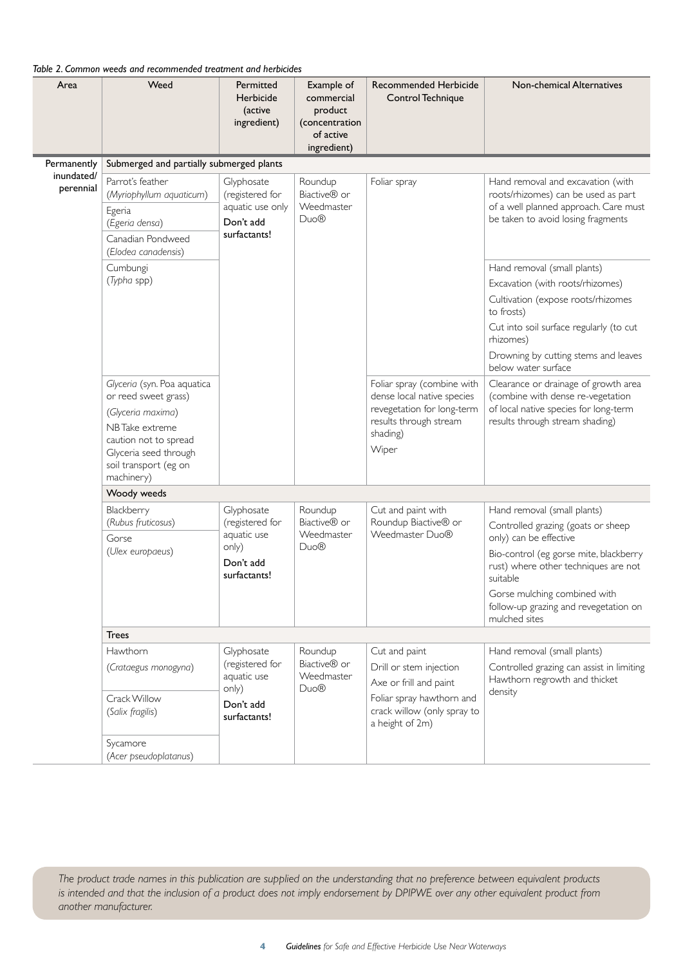# *Table 2. Common weeds and recommended treatment and herbicides*

| Area                    | Weed                                                                                                                                                                                | Permitted<br>Herbicide<br>(active<br>ingredient)                                   | Example of<br>commercial<br>product<br>(concentration<br>of active<br>ingredient) | <b>Recommended Herbicide</b><br>Control Technique                                                                                                 | Non-chemical Alternatives                                                                                                                                                                                                                                                           |  |  |
|-------------------------|-------------------------------------------------------------------------------------------------------------------------------------------------------------------------------------|------------------------------------------------------------------------------------|-----------------------------------------------------------------------------------|---------------------------------------------------------------------------------------------------------------------------------------------------|-------------------------------------------------------------------------------------------------------------------------------------------------------------------------------------------------------------------------------------------------------------------------------------|--|--|
| Permanently             | Submerged and partially submerged plants                                                                                                                                            |                                                                                    |                                                                                   |                                                                                                                                                   |                                                                                                                                                                                                                                                                                     |  |  |
| inundated/<br>perennial | Parrot's feather<br>(Myriophyllum aquaticum)<br>Egeria<br>(Egeria densa)<br>Canadian Pondweed<br>(Elodea canadensis)                                                                | Glyphosate<br>(registered for<br>aquatic use only<br>Don't add<br>surfactants!     | Roundup<br>Biactive <sup>®</sup> or<br>Weedmaster<br>Duo <sup>®</sup>             | Foliar spray                                                                                                                                      | Hand removal and excavation (with<br>roots/rhizomes) can be used as part<br>of a well planned approach. Care must<br>be taken to avoid losing fragments                                                                                                                             |  |  |
|                         | Cumbungi<br>(Typha spp)                                                                                                                                                             |                                                                                    |                                                                                   |                                                                                                                                                   | Hand removal (small plants)<br>Excavation (with roots/rhizomes)<br>Cultivation (expose roots/rhizomes<br>to frosts)<br>Cut into soil surface regularly (to cut<br>rhizomes)<br>Drowning by cutting stems and leaves<br>below water surface                                          |  |  |
|                         | Glyceria (syn. Poa aquatica<br>or reed sweet grass)<br>(Glyceria maxima)<br>NBTake extreme<br>caution not to spread<br>Glyceria seed through<br>soil transport (eg on<br>machinery) |                                                                                    |                                                                                   | Foliar spray (combine with<br>dense local native species<br>revegetation for long-term<br>results through stream<br>shading)<br>Wiper             | Clearance or drainage of growth area<br>(combine with dense re-vegetation<br>of local native species for long-term<br>results through stream shading)                                                                                                                               |  |  |
|                         | Woody weeds                                                                                                                                                                         |                                                                                    |                                                                                   |                                                                                                                                                   |                                                                                                                                                                                                                                                                                     |  |  |
|                         | Blackberry<br>(Rubus fruticosus)<br>Gorse<br>(Ulex europaeus)                                                                                                                       | Glyphosate<br>(registered for<br>aquatic use<br>only)<br>Don't add<br>surfactants! | Roundup<br>Biactive <sup>®</sup> or<br>Weedmaster<br>Duo®                         | Cut and paint with<br>Roundup Biactive® or<br>Weedmaster Duo®                                                                                     | Hand removal (small plants)<br>Controlled grazing (goats or sheep<br>only) can be effective<br>Bio-control (eg gorse mite, blackberry<br>rust) where other techniques are not<br>suitable<br>Gorse mulching combined with<br>follow-up grazing and revegetation on<br>mulched sites |  |  |
|                         | <b>Trees</b>                                                                                                                                                                        |                                                                                    |                                                                                   |                                                                                                                                                   |                                                                                                                                                                                                                                                                                     |  |  |
|                         | <b>Hawthorn</b><br>(Crataegus monogyna)<br>Crack Willow<br>(Salix fragilis)                                                                                                         | Glyphosate<br>(registered for<br>aquatic use<br>only)<br>Don't add<br>surfactants! | Roundup<br>Biactive <sup>®</sup> or<br>Weedmaster<br>Duo®                         | Cut and paint<br>Drill or stem injection<br>Axe or frill and paint<br>Foliar spray hawthorn and<br>crack willow (only spray to<br>a height of 2m) | Hand removal (small plants)<br>Controlled grazing can assist in limiting<br>Hawthorn regrowth and thicket<br>density                                                                                                                                                                |  |  |
|                         | Sycamore<br>(Acer pseudoplatanus)                                                                                                                                                   |                                                                                    |                                                                                   |                                                                                                                                                   |                                                                                                                                                                                                                                                                                     |  |  |

*The product trade names in this publication are supplied on the understanding that no preference between equivalent products is intended and that the inclusion of a product does not imply endorsement by DPIPWE over any other equivalent product from another manufacturer.*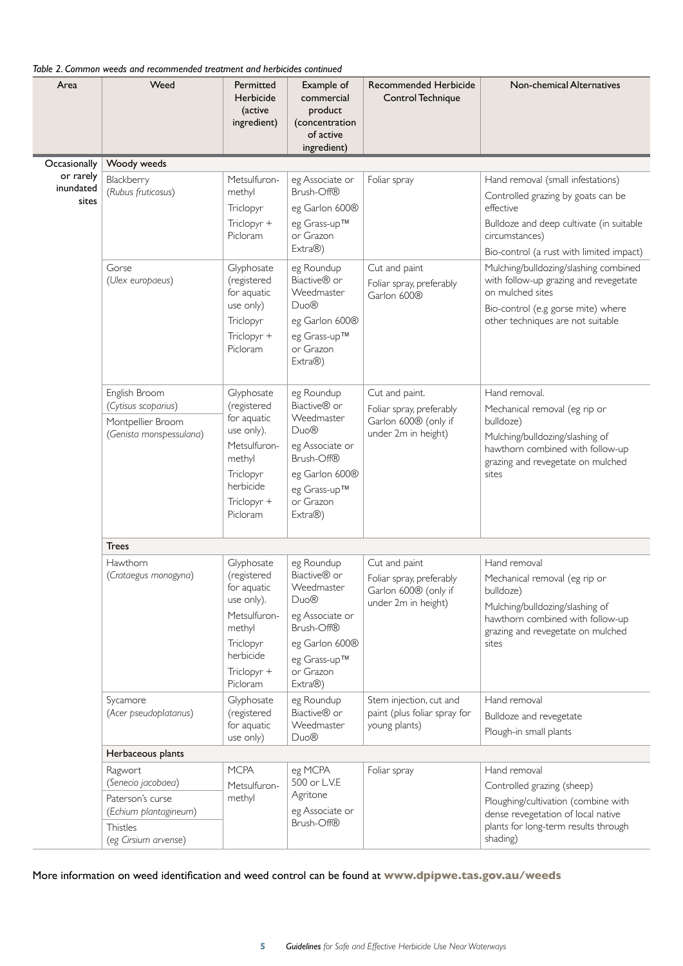| Table 2. Common weeds and recommended treatment and herbicides continued |  |
|--------------------------------------------------------------------------|--|
|--------------------------------------------------------------------------|--|

| Area                            | Weed                                                                                                           | Permitted<br>Herbicide<br>(active<br>ingredient)                                                                                      | Example of<br>commercial<br>product<br>(concentration<br>of active<br>ingredient)                                                                                   | <b>Recommended Herbicide</b><br>Control Technique                                         | Non-chemical Alternatives                                                                                                                                                                      |  |  |
|---------------------------------|----------------------------------------------------------------------------------------------------------------|---------------------------------------------------------------------------------------------------------------------------------------|---------------------------------------------------------------------------------------------------------------------------------------------------------------------|-------------------------------------------------------------------------------------------|------------------------------------------------------------------------------------------------------------------------------------------------------------------------------------------------|--|--|
| Occasionally                    | Woody weeds                                                                                                    |                                                                                                                                       |                                                                                                                                                                     |                                                                                           |                                                                                                                                                                                                |  |  |
| or rarely<br>inundated<br>sites | Blackberry<br>(Rubus fruticosus)                                                                               | Metsulfuron-<br>methyl<br>Triclopyr<br>Triclopyr +<br>Picloram                                                                        | eg Associate or<br>Brush-Off®<br>eg Garlon 600®<br>eg Grass-up™<br>or Grazon<br>Extra®)                                                                             | Foliar spray                                                                              | Hand removal (small infestations)<br>Controlled grazing by goats can be<br>effective<br>Bulldoze and deep cultivate (in suitable<br>circumstances)<br>Bio-control (a rust with limited impact) |  |  |
|                                 | Gorse<br>(Ulex europaeus)                                                                                      | Glyphosate<br>(registered<br>for aquatic<br>use only)<br>Triclopyr<br>Triclopyr +<br>Picloram                                         | eg Roundup<br>Biactive <sup>®</sup> or<br>Weedmaster<br>Duo <sup>®</sup><br>eg Garlon 600®<br>eg Grass-up™<br>or Grazon<br>Extra®)                                  | Cut and paint<br>Foliar spray, preferably<br>Garlon 600®                                  | Mulching/bulldozing/slashing combined<br>with follow-up grazing and revegetate<br>on mulched sites<br>Bio-control (e.g gorse mite) where<br>other techniques are not suitable                  |  |  |
|                                 | English Broom<br>(Cytisus scoparius)<br>Montpellier Broom<br>(Genista monspessulana)                           | Glyphosate<br>(registered<br>for aquatic<br>use only).<br>Metsulfuron-<br>methyl<br>Triclopyr<br>herbicide<br>Triclopyr +<br>Picloram | eg Roundup<br>Biactive <sup>®</sup> or<br>Weedmaster<br>Duo <sup>®</sup><br>eg Associate or<br>Brush-Off®<br>eg Garlon 600®<br>eg Grass-up™<br>or Grazon<br>Extra®) | Cut and paint.<br>Foliar spray, preferably<br>Garlon 600® (only if<br>under 2m in height) | Hand removal.<br>Mechanical removal (eg rip or<br>bulldoze)<br>Mulching/bulldozing/slashing of<br>hawthorn combined with follow-up<br>grazing and revegetate on mulched<br>sites               |  |  |
|                                 | <b>Trees</b>                                                                                                   |                                                                                                                                       |                                                                                                                                                                     |                                                                                           |                                                                                                                                                                                                |  |  |
|                                 | Hawthorn<br>(Crataegus monogyna)                                                                               | Glyphosate<br>(registered<br>for aquatic<br>use only).<br>Metsulfuron-<br>methyl<br>Triclopyr<br>herbicide<br>Triclopyr +<br>Picloram | eg Roundup<br>Biactive <sup>®</sup> or<br>Weedmaster<br>Duo <sup>®</sup><br>eg Associate or<br>Brush-Off®<br>eg Garlon 600®<br>eg Grass-up™<br>or Grazon<br>Extra®) | Cut and paint<br>Foliar spray, preferably<br>Garlon 600® (only if<br>under 2m in height)  | Hand removal<br>Mechanical removal (eg rip or<br>bulldoze)<br>Mulching/bulldozing/slashing of<br>hawthorn combined with follow-up<br>grazing and revegetate on mulched<br>sites                |  |  |
|                                 | Sycamore<br>(Acer pseudoplatanus)                                                                              | Glyphosate<br>(registered<br>for aquatic<br>use only)                                                                                 | eg Roundup<br>Biactive <sup>®</sup> or<br>Weedmaster<br>Duo <sup>®</sup>                                                                                            | Stem injection, cut and<br>paint (plus foliar spray for<br>young plants)                  | Hand removal<br>Bulldoze and revegetate<br>Plough-in small plants                                                                                                                              |  |  |
|                                 | Herbaceous plants                                                                                              |                                                                                                                                       |                                                                                                                                                                     |                                                                                           |                                                                                                                                                                                                |  |  |
|                                 | Ragwort<br>(Senecio jacobaea)<br>Paterson's curse<br>(Echium plantagineum)<br>Thistles<br>(eg Cirsium arvense) | <b>MCPA</b><br>Metsulfuron-<br>methyl                                                                                                 | eg MCPA<br>500 or L.V.E<br>Agritone<br>eg Associate or<br>Brush-Off®                                                                                                | Foliar spray                                                                              | Hand removal<br>Controlled grazing (sheep)<br>Ploughing/cultivation (combine with<br>dense revegetation of local native<br>plants for long-term results through<br>shading)                    |  |  |

More information on weed identification and weed control can be found at **www.dpipwe.tas.gov.au/weeds**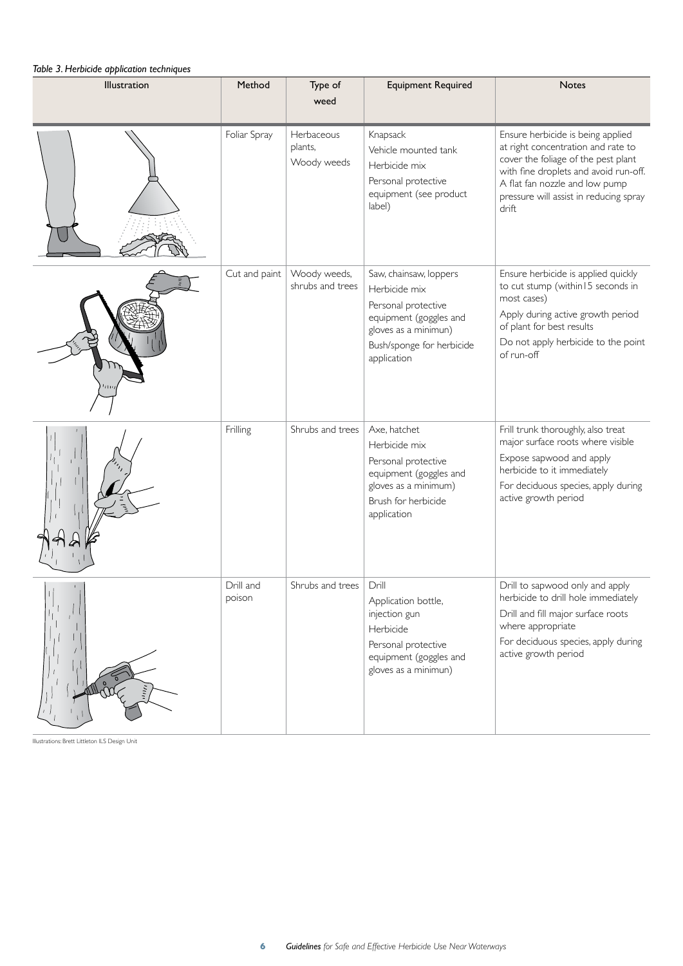# *Table 3. Herbicide application techniques*

| Illustration         | Method              | Type of<br>weed                      | <b>Equipment Required</b>                                                                                                                                    | <b>Notes</b>                                                                                                                                                                                                                                 |
|----------------------|---------------------|--------------------------------------|--------------------------------------------------------------------------------------------------------------------------------------------------------------|----------------------------------------------------------------------------------------------------------------------------------------------------------------------------------------------------------------------------------------------|
|                      | Foliar Spray        | Herbaceous<br>plants,<br>Woody weeds | Knapsack<br>Vehicle mounted tank<br>Herbicide mix<br>Personal protective<br>equipment (see product<br>label)                                                 | Ensure herbicide is being applied<br>at right concentration and rate to<br>cover the foliage of the pest plant<br>with fine droplets and avoid run-off.<br>A flat fan nozzle and low pump<br>pressure will assist in reducing spray<br>drift |
|                      | Cut and paint       | Woody weeds,<br>shrubs and trees     | Saw, chainsaw, loppers<br>Herbicide mix<br>Personal protective<br>equipment (goggles and<br>gloves as a minimun)<br>Bush/sponge for herbicide<br>application | Ensure herbicide is applied quickly<br>to cut stump (within I5 seconds in<br>most cases)<br>Apply during active growth period<br>of plant for best results<br>Do not apply herbicide to the point<br>of run-off                              |
|                      | Frilling            | Shrubs and trees                     | Axe, hatchet<br>Herbicide mix<br>Personal protective<br>equipment (goggles and<br>gloves as a minimum)<br>Brush for herbicide<br>application                 | Frill trunk thoroughly, also treat<br>major surface roots where visible<br>Expose sapwood and apply<br>herbicide to it immediately<br>For deciduous species, apply during<br>active growth period                                            |
| $\mathbf{r}_{\perp}$ | Drill and<br>poison | Shrubs and trees                     | Drill<br>Application bottle,<br>injection gun<br>Herbicide<br>Personal protective<br>equipment (goggles and<br>gloves as a minimun)                          | Drill to sapwood only and apply<br>herbicide to drill hole immediately<br>Drill and fill major surface roots<br>where appropriate<br>For deciduous species, apply during<br>active growth period                                             |

Illustrations: Brett Littleton ILS Design Unit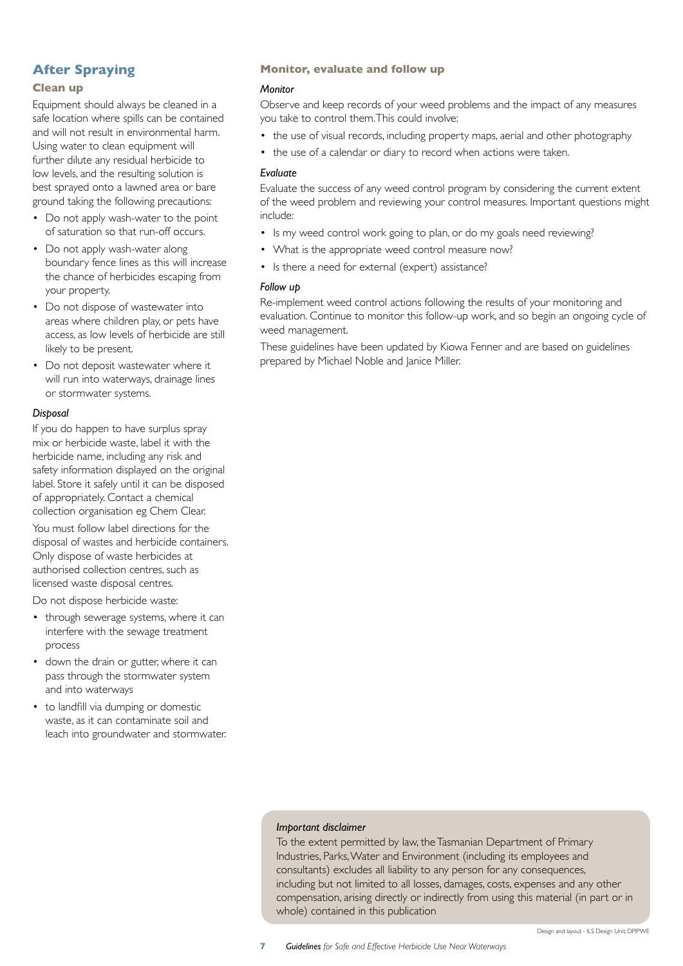# **After Spraying**

## **Clean up**

Equipment should always be cleaned in a safe location where spills can be contained and will not result in environmental harm. Using water to clean equipment will further dilute any residual herbicide to low levels, and the resulting solution is best sprayed onto a lawned area or bare ground taking the following precautions:

- Do not apply wash-water to the point of saturation so that run-off occurs.
- Do not apply wash-water along boundary fence lines as this will increase the chance of herbicides escaping from your property.
- Do not dispose of wastewater into areas where children play, or pets have access, as low levels of herbicide are still likely to be present.
- Do not deposit wastewater where it will run into waterways, drainage lines or stormwater systems.

# *Disposal*

If you do happen to have surplus spray mix or herbicide waste, label it with the herbicide name, including any risk and safety information displayed on the original label. Store it safely until it can be disposed of appropriately. Contact a chemical collection organisation eg Chem Clear.

You must follow label directions for the disposal of wastes and herbicide containers. Only dispose of waste herbicides at authorised collection centres, such as licensed waste disposal centres.

Do not dispose herbicide waste:

- through sewerage systems, where it can interfere with the sewage treatment process
- down the drain or gutter, where it can pass through the stormwater system and into waterways
- to landfill via dumping or domestic waste, as it can contaminate soil and leach into groundwater and stormwater.

## **Monitor, evaluate and follow up**

#### *Monitor*

Observe and keep records of your weed problems and the impact of any measures you take to control them. This could involve:

- the use of visual records, including property maps, aerial and other photography
- the use of a calendar or diary to record when actions were taken.

#### *Evaluate*

Evaluate the success of any weed control program by considering the current extent of the weed problem and reviewing your control measures. Important questions might include:

- Is my weed control work going to plan, or do my goals need reviewing?
- What is the appropriate weed control measure now?
- Is there a need for external (expert) assistance?

## *Follow up*

Re-implement weed control actions following the results of your monitoring and evaluation. Continue to monitor this follow-up work, and so begin an ongoing cycle of weed management.

These guidelines have been updated by Kiowa Fenner and are based on guidelines prepared by Michael Noble and Janice Miller.

#### *Important disclaimer*

To the extent permitted by law, the Tasmanian Department of Primary Industries, Parks, Water and Environment (including its employees and consultants) excludes all liability to any person for any consequences, including but not limited to all losses, damages, costs, expenses and any other compensation, arising directly or indirectly from using this material (in part or in whole) contained in this publication